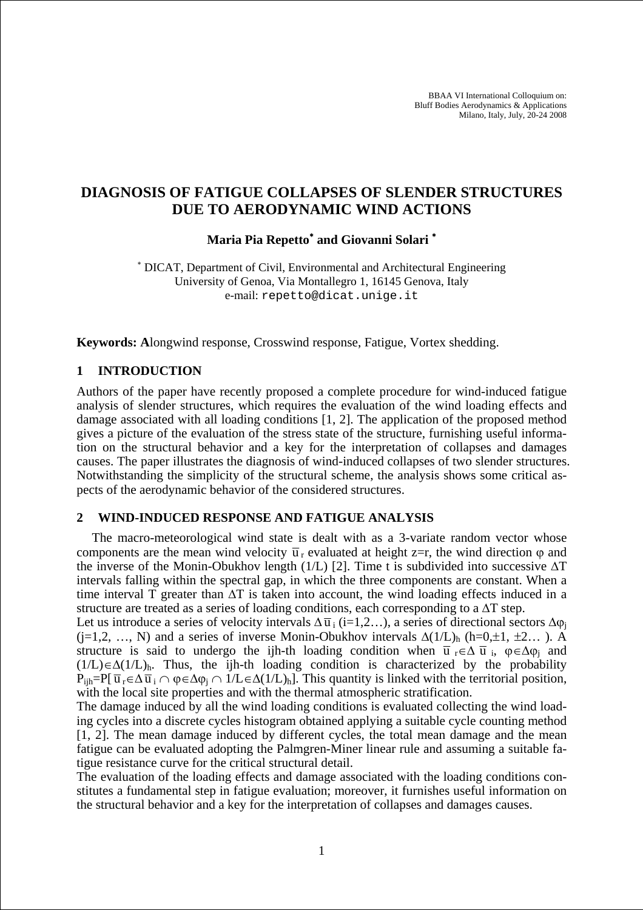BBAA VI International Colloquium on: Bluff Bodies Aerodynamics & Applications Milano, Italy, July, 20-24 2008

# **DIAGNOSIS OF FATIGUE COLLAPSES OF SLENDER STRUCTURES DUE TO AERODYNAMIC WIND ACTIONS**

## **Maria Pia Repetto**<sup>∗</sup>  **and Giovanni Solari** <sup>∗</sup>

∗ DICAT, Department of Civil, Environmental and Architectural Engineering University of Genoa, Via Montallegro 1, 16145 Genova, Italy e-mail: repetto@dicat.unige.it

**Keywords: A**longwind response, Crosswind response, Fatigue, Vortex shedding.

#### **1 INTRODUCTION**

Authors of the paper have recently proposed a complete procedure for wind-induced fatigue analysis of slender structures, which requires the evaluation of the wind loading effects and damage associated with all loading conditions [1, 2]. The application of the proposed method gives a picture of the evaluation of the stress state of the structure, furnishing useful information on the structural behavior and a key for the interpretation of collapses and damages causes. The paper illustrates the diagnosis of wind-induced collapses of two slender structures. Notwithstanding the simplicity of the structural scheme, the analysis shows some critical aspects of the aerodynamic behavior of the considered structures.

#### **2 WIND-INDUCED RESPONSE AND FATIGUE ANALYSIS**

The macro-meteorological wind state is dealt with as a 3-variate random vector whose components are the mean wind velocity  $\overline{u}_r$  evaluated at height z=r, the wind direction  $\varphi$  and the inverse of the Monin-Obukhov length (1/L) [2]. Time t is subdivided into successive  $\Delta T$ intervals falling within the spectral gap, in which the three components are constant. When a time interval T greater than ∆T is taken into account, the wind loading effects induced in a structure are treated as a series of loading conditions, each corresponding to a ∆T step.

Let us introduce a series of velocity intervals  $\Delta \overline{u}_i$  (i=1,2…), a series of directional sectors  $\Delta \varphi_i$ (j=1,2, …, N) and a series of inverse Monin-Obukhov intervals  $\Delta(1/L)$ <sub>h</sub> (h=0,±1, ±2…). A structure is said to undergo the ijh-th loading condition when  $\bar{u}_r \in \Delta \bar{u}_i$ ,  $\varphi \in \Delta \varphi_i$  and  $(1/L)\in\Delta(1/L)$ <sub>h</sub>. Thus, the ijh-th loading condition is characterized by the probability  $P_{\text{iih}}=P[\ \overline{u}_r \in \Delta \overline{u}_i \cap \phi \in \Delta \phi_i \cap 1/L \in \Delta(1/L)_{\text{h}}]$ . This quantity is linked with the territorial position, with the local site properties and with the thermal atmospheric stratification.

The damage induced by all the wind loading conditions is evaluated collecting the wind loading cycles into a discrete cycles histogram obtained applying a suitable cycle counting method [1, 2]. The mean damage induced by different cycles, the total mean damage and the mean fatigue can be evaluated adopting the Palmgren-Miner linear rule and assuming a suitable fatigue resistance curve for the critical structural detail.

The evaluation of the loading effects and damage associated with the loading conditions constitutes a fundamental step in fatigue evaluation; moreover, it furnishes useful information on the structural behavior and a key for the interpretation of collapses and damages causes.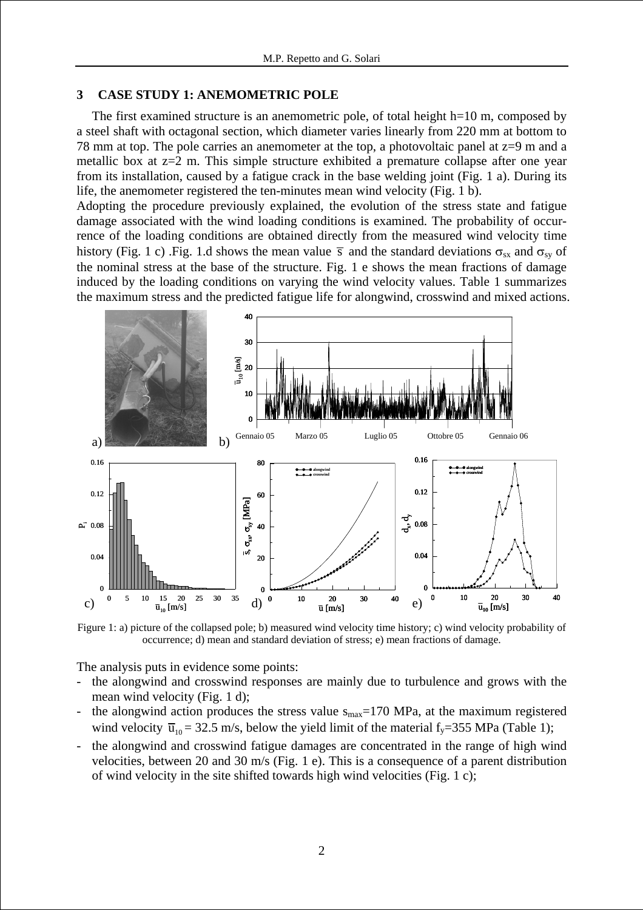#### **3 CASE STUDY 1: ANEMOMETRIC POLE**

The first examined structure is an anemometric pole, of total height h=10 m, composed by a steel shaft with octagonal section, which diameter varies linearly from 220 mm at bottom to 78 mm at top. The pole carries an anemometer at the top, a photovoltaic panel at z=9 m and a metallic box at z=2 m. This simple structure exhibited a premature collapse after one year from its installation, caused by a fatigue crack in the base welding joint (Fig. 1 a). During its life, the anemometer registered the ten-minutes mean wind velocity (Fig. 1 b).

Adopting the procedure previously explained, the evolution of the stress state and fatigue damage associated with the wind loading conditions is examined. The probability of occurrence of the loading conditions are obtained directly from the measured wind velocity time history (Fig. 1 c) .Fig. 1.d shows the mean value  $\bar{s}$  and the standard deviations  $\sigma_{sx}$  and  $\sigma_{sy}$  of the nominal stress at the base of the structure. Fig. 1 e shows the mean fractions of damage induced by the loading conditions on varying the wind velocity values. Table 1 summarizes the maximum stress and the predicted fatigue life for alongwind, crosswind and mixed actions.



Figure 1: a) picture of the collapsed pole; b) measured wind velocity time history; c) wind velocity probability of occurrence; d) mean and standard deviation of stress; e) mean fractions of damage.

The analysis puts in evidence some points:

- the alongwind and crosswind responses are mainly due to turbulence and grows with the mean wind velocity (Fig. 1 d);
- the alongwind action produces the stress value  $s_{\text{max}}$ =170 MPa, at the maximum registered wind velocity  $\overline{u}_{10} = 32.5$  m/s, below the yield limit of the material f<sub>y</sub>=355 MPa (Table 1);
- the alongwind and crosswind fatigue damages are concentrated in the range of high wind velocities, between 20 and 30 m/s (Fig. 1 e). This is a consequence of a parent distribution of wind velocity in the site shifted towards high wind velocities (Fig. 1 c);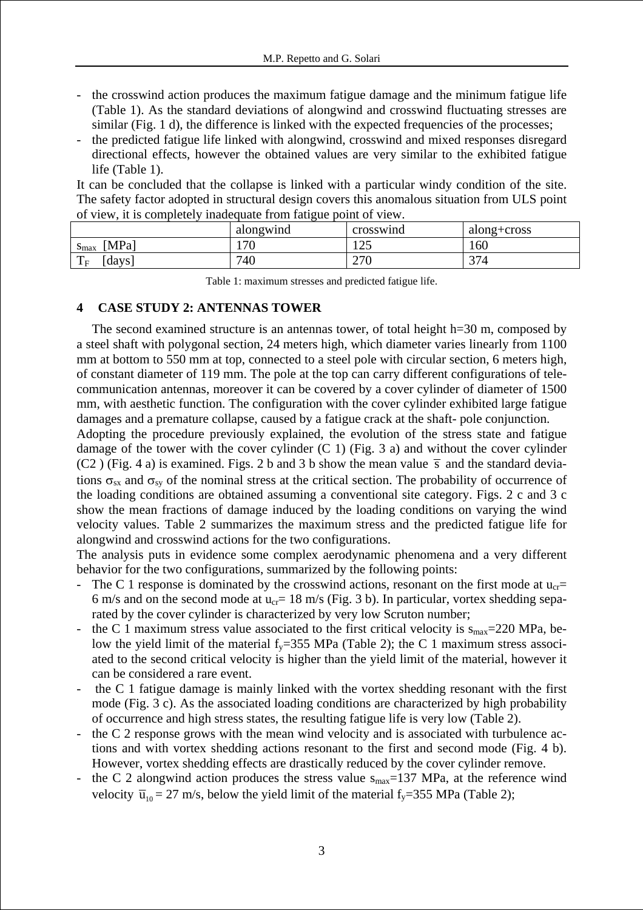- the crosswind action produces the maximum fatigue damage and the minimum fatigue life (Table 1). As the standard deviations of alongwind and crosswind fluctuating stresses are similar (Fig. 1 d), the difference is linked with the expected frequencies of the processes;
- the predicted fatigue life linked with alongwind, crosswind and mixed responses disregard directional effects, however the obtained values are very similar to the exhibited fatigue life (Table 1).

It can be concluded that the collapse is linked with a particular windy condition of the site. The safety factor adopted in structural design covers this anomalous situation from ULS point of view, it is completely inadequate from fatigue point of view.

|                               | alongwind         | crosswind    | along+cross  |
|-------------------------------|-------------------|--------------|--------------|
| <b>MPa</b><br>$\mathbf{m}$ ax | $\sqrt{70}$<br>J. | $1 \cap 5$   | 160          |
| $\mathbf{r}$<br>days<br>1F    | 740               | 27f<br>4 I V | $\sim$<br>14 |

Table 1: maximum stresses and predicted fatigue life.

### **4 CASE STUDY 2: ANTENNAS TOWER**

The second examined structure is an antennas tower, of total height h=30 m, composed by a steel shaft with polygonal section, 24 meters high, which diameter varies linearly from 1100 mm at bottom to 550 mm at top, connected to a steel pole with circular section, 6 meters high, of constant diameter of 119 mm. The pole at the top can carry different configurations of telecommunication antennas, moreover it can be covered by a cover cylinder of diameter of 1500 mm, with aesthetic function. The configuration with the cover cylinder exhibited large fatigue damages and a premature collapse, caused by a fatigue crack at the shaft- pole conjunction.

Adopting the procedure previously explained, the evolution of the stress state and fatigue damage of the tower with the cover cylinder  $(C 1)$  (Fig. 3 a) and without the cover cylinder (C2) (Fig. 4 a) is examined. Figs. 2 b and 3 b show the mean value  $\bar{s}$  and the standard deviations  $\sigma_{sx}$  and  $\sigma_{sy}$  of the nominal stress at the critical section. The probability of occurrence of the loading conditions are obtained assuming a conventional site category. Figs. 2 c and 3 c show the mean fractions of damage induced by the loading conditions on varying the wind velocity values. Table 2 summarizes the maximum stress and the predicted fatigue life for alongwind and crosswind actions for the two configurations.

The analysis puts in evidence some complex aerodynamic phenomena and a very different behavior for the two configurations, summarized by the following points:

- The C 1 response is dominated by the crosswind actions, resonant on the first mode at  $u_{cr}$ 6 m/s and on the second mode at  $u_{cr}$  = 18 m/s (Fig. 3 b). In particular, vortex shedding separated by the cover cylinder is characterized by very low Scruton number;
- the C 1 maximum stress value associated to the first critical velocity is  $s_{max}=220$  MPa, below the yield limit of the material  $f_y=355$  MPa (Table 2); the C 1 maximum stress associated to the second critical velocity is higher than the yield limit of the material, however it can be considered a rare event.
- the C 1 fatigue damage is mainly linked with the vortex shedding resonant with the first mode (Fig. 3 c). As the associated loading conditions are characterized by high probability of occurrence and high stress states, the resulting fatigue life is very low (Table 2).
- the C 2 response grows with the mean wind velocity and is associated with turbulence actions and with vortex shedding actions resonant to the first and second mode (Fig. 4 b). However, vortex shedding effects are drastically reduced by the cover cylinder remove.
- the C 2 alongwind action produces the stress value  $s_{max}=137$  MPa, at the reference wind velocity  $\overline{u}_{10} = 27$  m/s, below the yield limit of the material f<sub>y</sub>=355 MPa (Table 2);